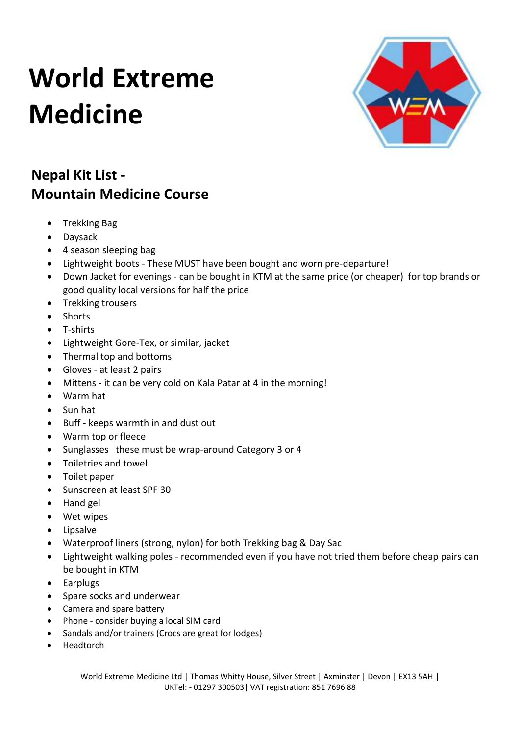### **World Extreme Medicine**



#### **Nepal Kit List - Mountain Medicine Course**

- Trekking Bag
- Daysack
- 4 season sleeping bag
- Lightweight boots These MUST have been bought and worn pre-departure!
- Down Jacket for evenings can be bought in KTM at the same price (or cheaper) for top brands or good quality local versions for half the price
- Trekking trousers
- Shorts
- T-shirts
- Lightweight Gore-Tex, or similar, jacket
- Thermal top and bottoms
- Gloves at least 2 pairs
- Mittens it can be very cold on Kala Patar at 4 in the morning!
- Warm hat
- Sun hat
- Buff keeps warmth in and dust out
- Warm top or fleece
- Sunglasses these must be wrap-around Category 3 or 4
- Toiletries and towel
- Toilet paper
- Sunscreen at least SPF 30
- Hand gel
- Wet wipes
- Lipsalve
- Waterproof liners (strong, nylon) for both Trekking bag & Day Sac
- Lightweight walking poles recommended even if you have not tried them before cheap pairs can be bought in KTM
- Earplugs
- Spare socks and underwear
- Camera and spare battery
- Phone consider buying a local SIM card
- Sandals and/or trainers (Crocs are great for lodges)
- Headtorch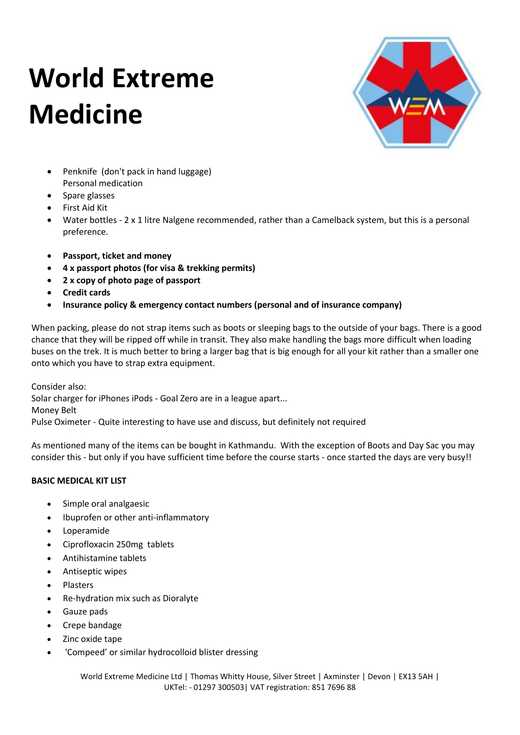# **World Extreme Medicine**



- Penknife (don't pack in hand luggage) Personal medication
- Spare glasses
- First Aid Kit
- Water bottles 2 x 1 litre Nalgene recommended, rather than a Camelback system, but this is a personal preference.
- **Passport, ticket and money**
- **4 x passport photos (for visa & trekking permits)**
- **2 x copy of photo page of passport**
- **Credit cards**
- **Insurance policy & emergency contact numbers (personal and of insurance company)**

When packing, please do not strap items such as boots or sleeping bags to the outside of your bags. There is a good chance that they will be ripped off while in transit. They also make handling the bags more difficult when loading buses on the trek. It is much better to bring a larger bag that is big enough for all your kit rather than a smaller one onto which you have to strap extra equipment.

Consider also: Solar charger for iPhones iPods - Goal Zero are in a league apart... Money Belt Pulse Oximeter - Quite interesting to have use and discuss, but definitely not required

As mentioned many of the items can be bought in Kathmandu. With the exception of Boots and Day Sac you may consider this - but only if you have sufficient time before the course starts - once started the days are very busy!!

#### **BASIC MEDICAL KIT LIST**

- Simple oral analgaesic
- Ibuprofen or other anti-inflammatory
- Loperamide
- Ciprofloxacin 250mg tablets
- Antihistamine tablets
- Antiseptic wipes
- Plasters
- Re-hydration mix such as Dioralyte
- Gauze pads
- Crepe bandage
- Zinc oxide tape
- 'Compeed' or similar hydrocolloid blister dressing